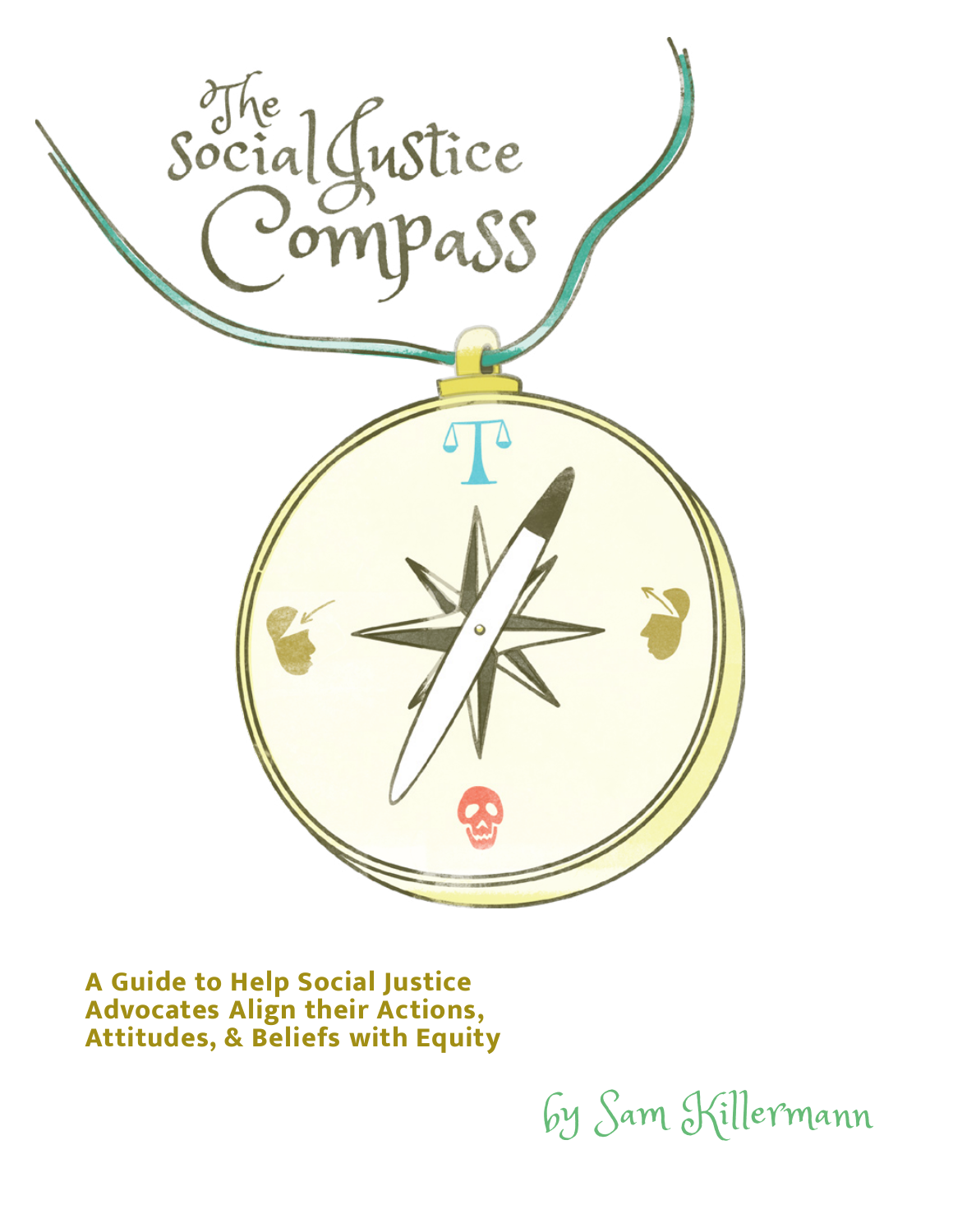

**A Guide to Help Social Justice Advocates Align their Actions, Attitudes, & Beliefs with Equity**

by Sam Killermann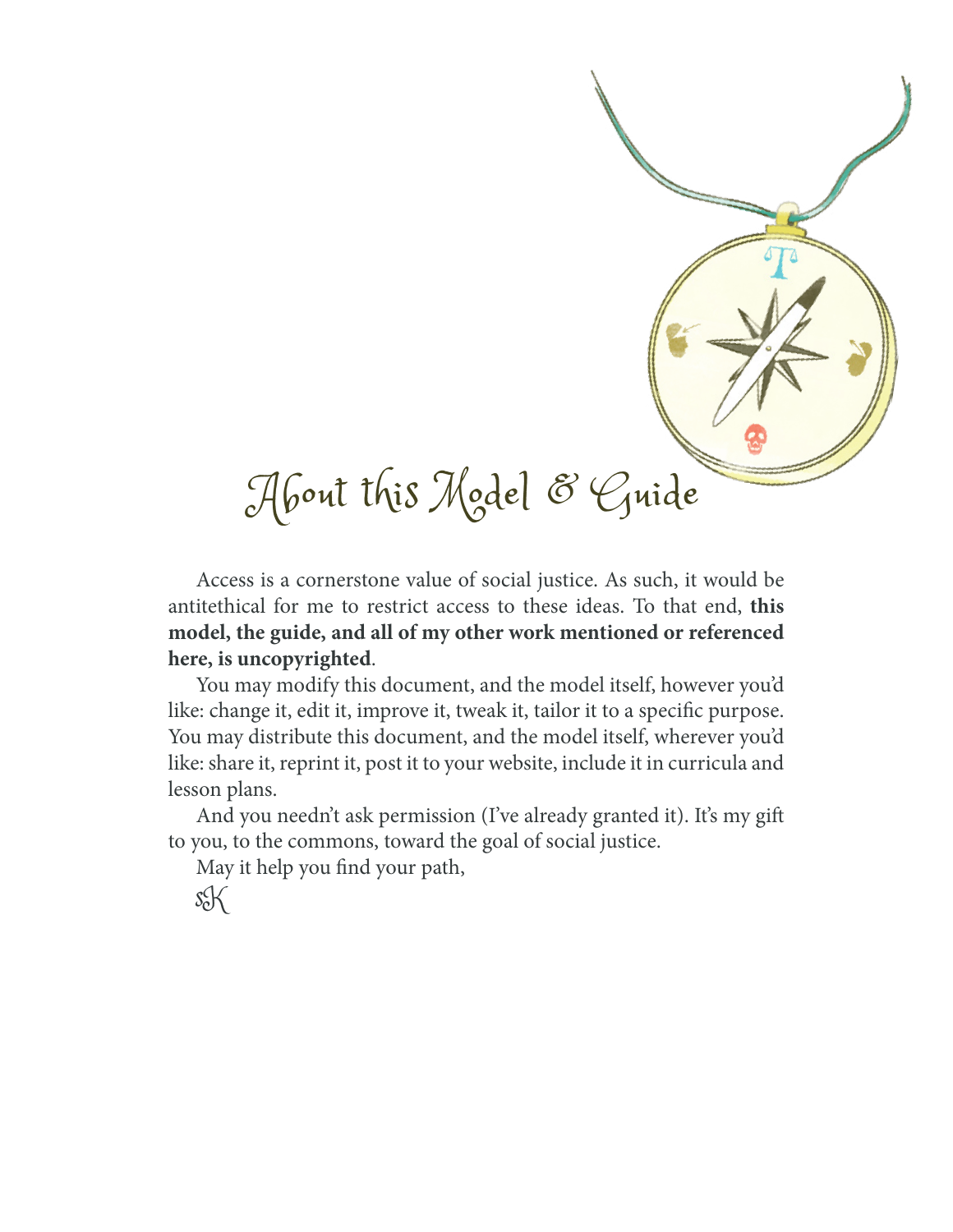

Access is a cornerstone value of social justice. As such, it would be antitethical for me to restrict access to these ideas. To that end, **this model, the guide, and all of my other work mentioned or referenced here, is uncopyrighted**.

You may modify this document, and the model itself, however you'd like: change it, edit it, improve it, tweak it, tailor it to a specific purpose. You may distribute this document, and the model itself, wherever you'd like: share it, reprint it, post it to your website, include it in curricula and lesson plans.

And you needn't ask permission (I've already granted it). It's my gift to you, to the commons, toward the goal of social justice.

May it help you find your path,

sK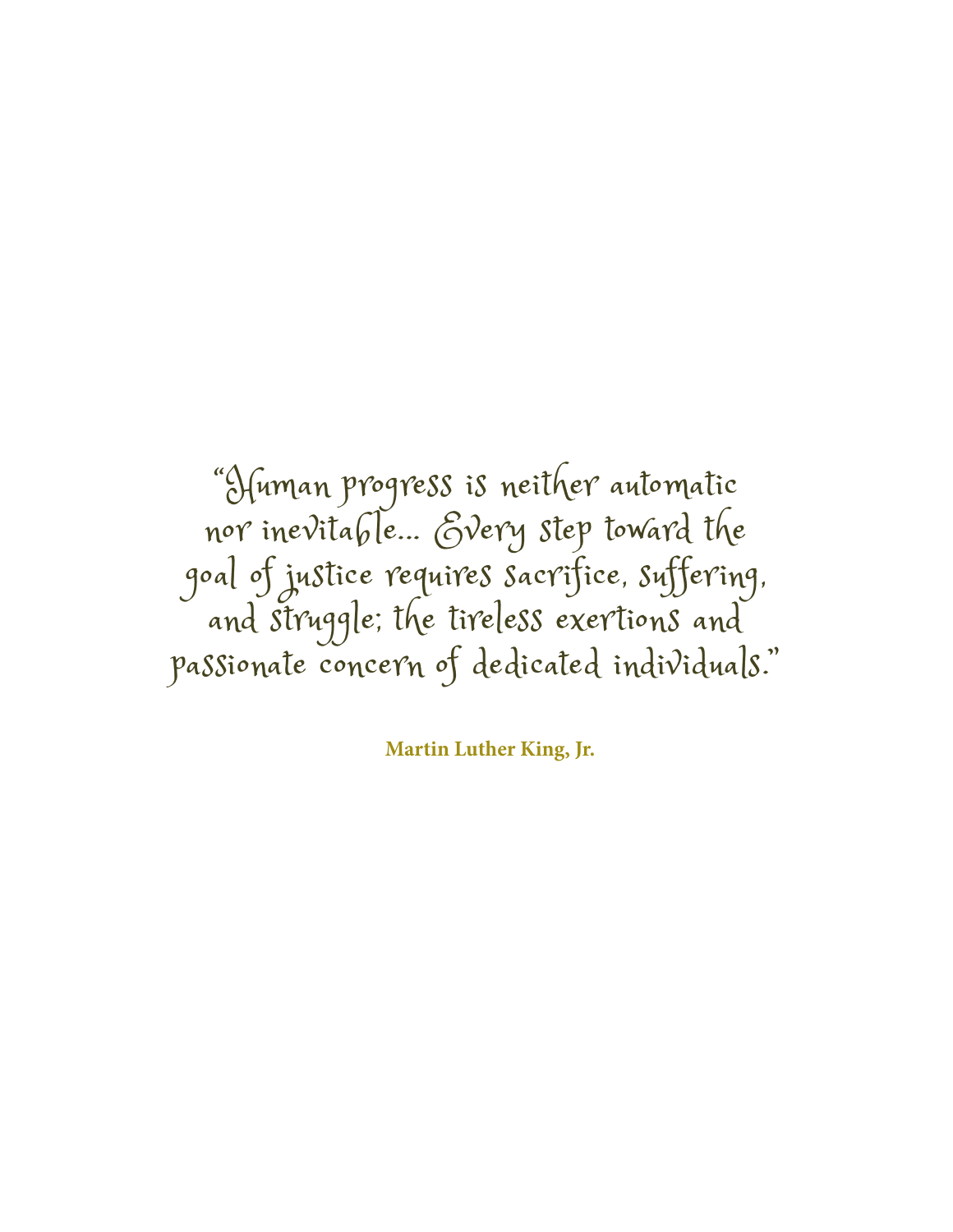"Human progress is neither automatic nor inevitable... Every step toward the goal of justice requires sacrifice, suffering, and struggle; the tireless exertions and passionate concern of dedicated individuals."

**Martin Luther King, Jr.**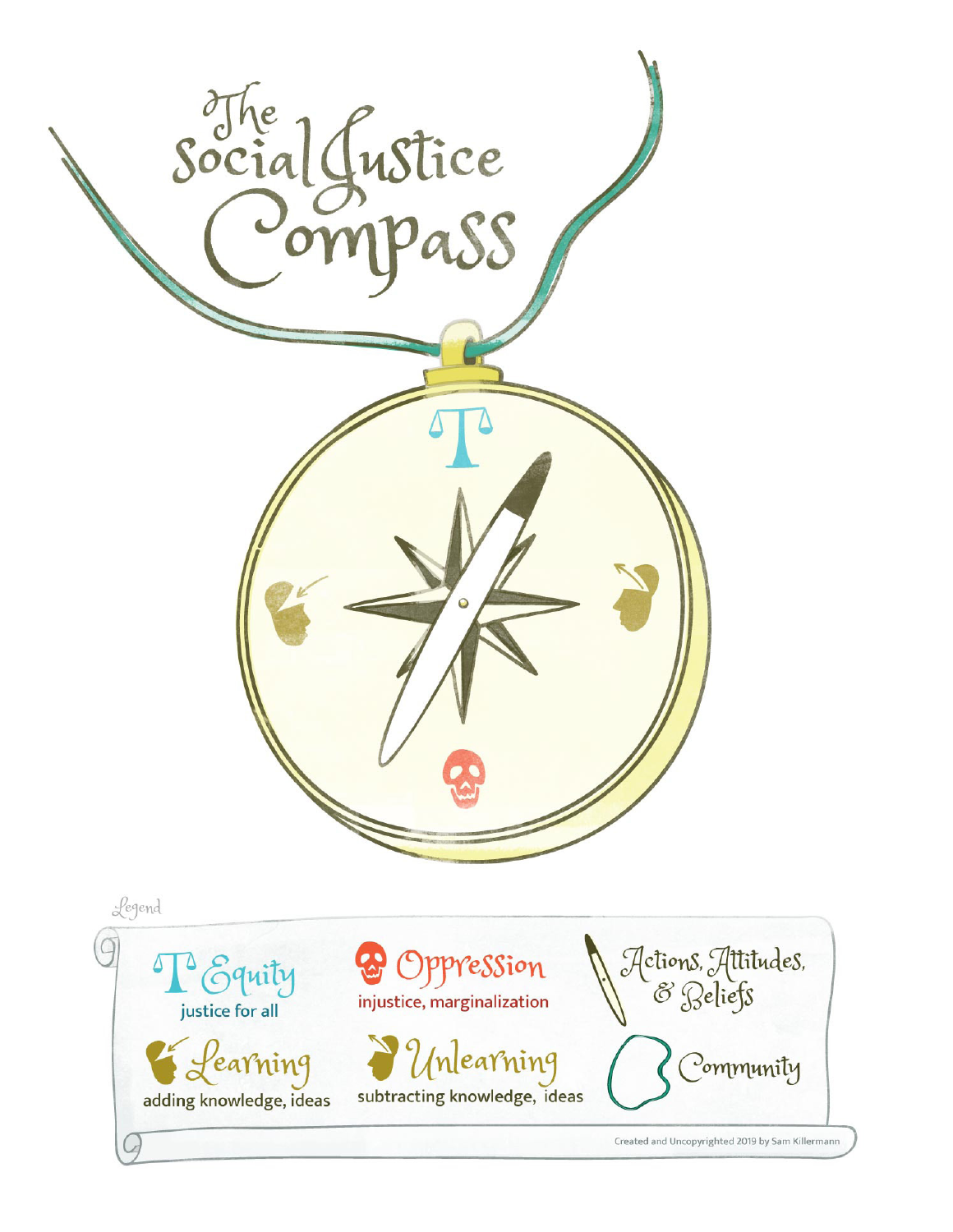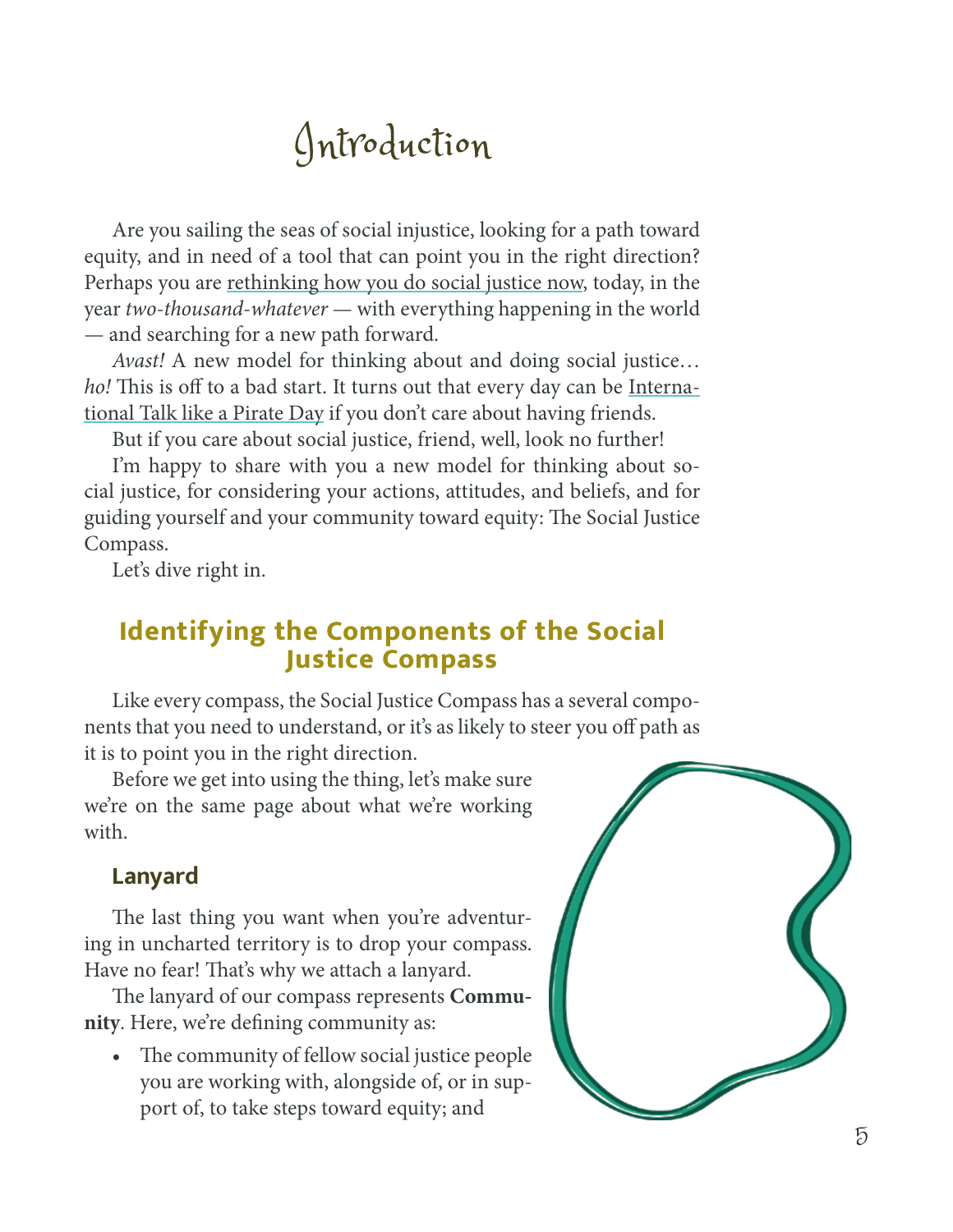# Introduction

Are you sailing the seas of social injustice, looking for a path toward equity, and in need of a tool that can point you in the right direction? Perhaps you are [rethinking how you do social justice now,](https://www.itspronouncedmetrosexual.com/2019/01/social-justice-then-and-now/) today, in the year *two-thousand-whatever* — with everything happening in the world — and searching for a new path forward.

*Avast!* A new model for thinking about and doing social justice… *ho!* This is off to a bad start. It turns out that every day can be [Interna](http://talklikeapirate.com/wordpress/)[tional Talk like a Pirate Day](http://talklikeapirate.com/wordpress/) if you don't care about having friends.

But if you care about social justice, friend, well, look no further!

I'm happy to share with you a new model for thinking about social justice, for considering your actions, attitudes, and beliefs, and for guiding yourself and your community toward equity: The Social Justice Compass.

Let's dive right in.

## **Identifying the Components of the Social Justice Compass**

Like every compass, the Social Justice Compass has a several components that you need to understand, or it's as likely to steer you off path as it is to point you in the right direction.

Before we get into using the thing, let's make sure we're on the same page about what we're working with.

### **Lanyard**

The last thing you want when you're adventuring in uncharted territory is to drop your compass. Have no fear! That's why we attach a lanyard.

The lanyard of our compass represents **Community**. Here, we're defining community as:

• The community of fellow social justice people you are working with, alongside of, or in support of, to take steps toward equity; and

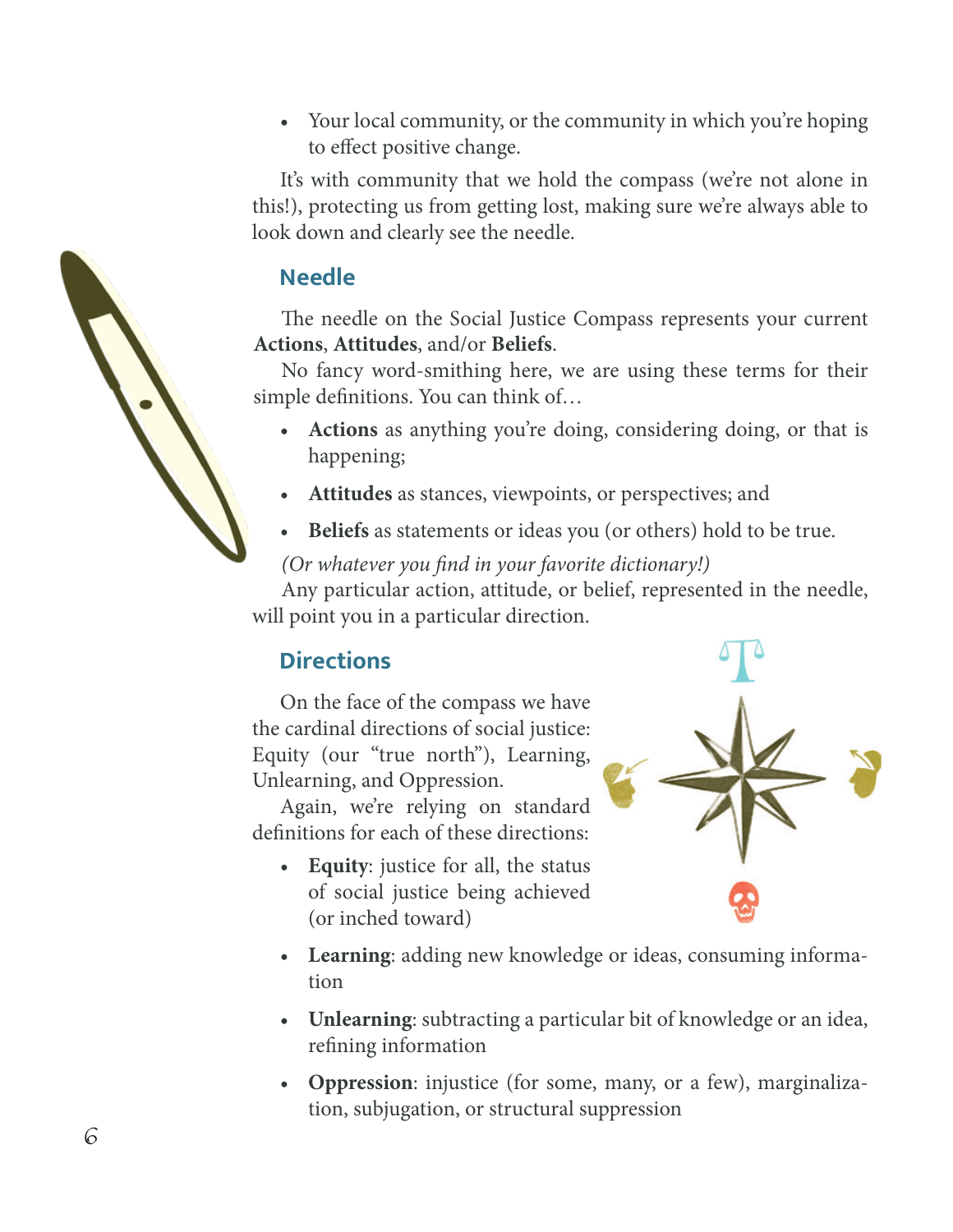• Your local community, or the community in which you're hoping to effect positive change.

It's with community that we hold the compass (we're not alone in this!), protecting us from getting lost, making sure we're always able to look down and clearly see the needle.

## **Needle**

The needle on the Social Justice Compass represents your current **Actions**, **Attitudes**, and/or **Beliefs**.

No fancy word-smithing here, we are using these terms for their simple definitions. You can think of…

- **Actions** as anything you're doing, considering doing, or that is happening;
- **Attitudes** as stances, viewpoints, or perspectives; and
- **Beliefs** as statements or ideas you (or others) hold to be true.

### *(Or whatever you find in your favorite dictionary!)*

Any particular action, attitude, or belief, represented in the needle, will point you in a particular direction.

# **Directions**

On the face of the compass we have the cardinal directions of social justice: Equity (our "true north"), Learning, Unlearning, and Oppression.

Again, we're relying on standard definitions for each of these directions:

• **Equity**: justice for all, the status of social justice being achieved (or inched toward)



- **Learning**: adding new knowledge or ideas, consuming information
- **Unlearning**: subtracting a particular bit of knowledge or an idea, refining information
- **Oppression**: injustice (for some, many, or a few), marginalization, subjugation, or structural suppression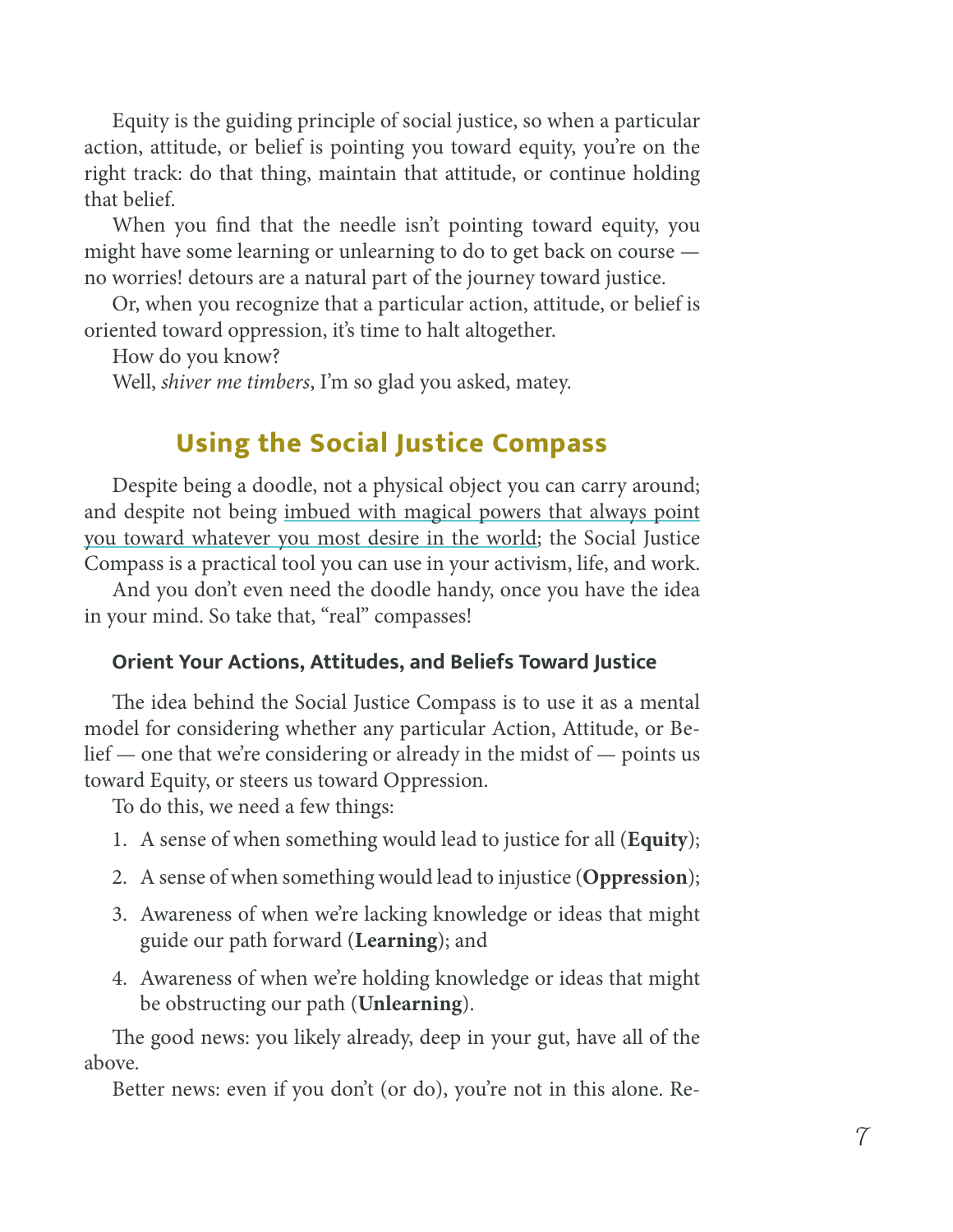Equity is the guiding principle of social justice, so when a particular action, attitude, or belief is pointing you toward equity, you're on the right track: do that thing, maintain that attitude, or continue holding that belief.

When you find that the needle isn't pointing toward equity, you might have some learning or unlearning to do to get back on course no worries! detours are a natural part of the journey toward justice.

Or, when you recognize that a particular action, attitude, or belief is oriented toward oppression, it's time to halt altogether.

How do you know?

Well, *shiver me timbers*, I'm so glad you asked, matey.

# **Using the Social Justice Compass**

Despite being a doodle, not a physical object you can carry around; and despite not being [imbued with magical powers that always point](http://pirates.wikia.com/wiki/Jack_Sparrow%27s_compass) [you toward whatever you most desire in the world](http://pirates.wikia.com/wiki/Jack_Sparrow%27s_compass); the Social Justice Compass is a practical tool you can use in your activism, life, and work.

And you don't even need the doodle handy, once you have the idea in your mind. So take that, "real" compasses!

#### **Orient Your Actions, Attitudes, and Beliefs Toward Justice**

The idea behind the Social Justice Compass is to use it as a mental model for considering whether any particular Action, Attitude, or Belief — one that we're considering or already in the midst of — points us toward Equity, or steers us toward Oppression.

To do this, we need a few things:

- 1. A sense of when something would lead to justice for all (**Equity**);
- 2. A sense of when something would lead to injustice (**Oppression**);
- 3. Awareness of when we're lacking knowledge or ideas that might guide our path forward (**Learning**); and
- 4. Awareness of when we're holding knowledge or ideas that might be obstructing our path (**Unlearning**).

The good news: you likely already, deep in your gut, have all of the above.

Better news: even if you don't (or do), you're not in this alone. Re-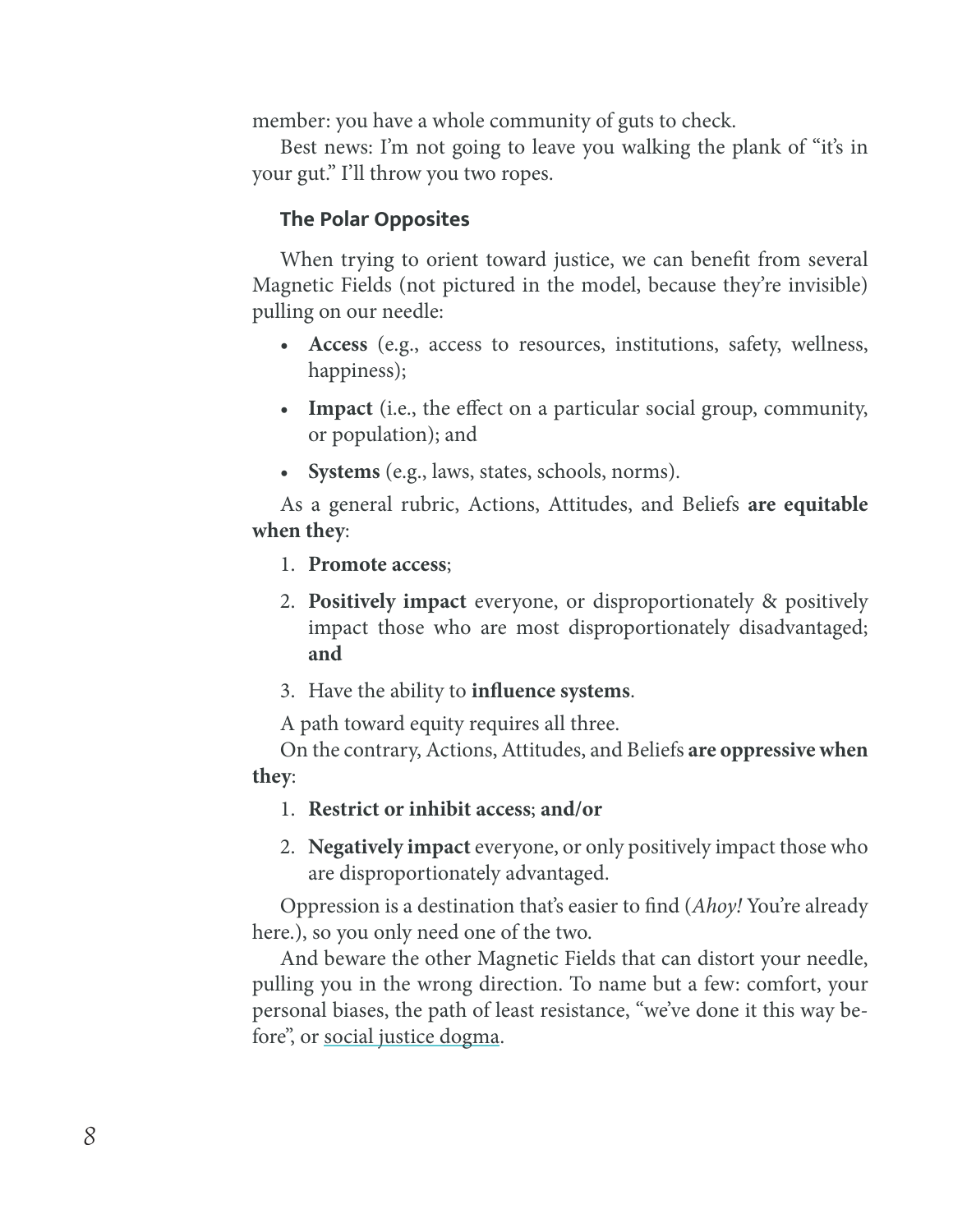member: you have a whole community of guts to check.

Best news: I'm not going to leave you walking the plank of "it's in your gut." I'll throw you two ropes.

#### **The Polar Opposites**

When trying to orient toward justice, we can benefit from several Magnetic Fields (not pictured in the model, because they're invisible) pulling on our needle:

- **Access** (e.g., access to resources, institutions, safety, wellness, happiness);
- **Impact** (i.e., the effect on a particular social group, community, or population); and
- **Systems** (e.g., laws, states, schools, norms).

As a general rubric, Actions, Attitudes, and Beliefs **are equitable when they**:

- 1. **Promote access**;
- 2. **Positively impact** everyone, or disproportionately & positively impact those who are most disproportionately disadvantaged; **and**
- 3. Have the ability to **influence systems**.

A path toward equity requires all three.

On the contrary, Actions, Attitudes, and Beliefs **are oppressive when they**:

- 1. **Restrict or inhibit access**; **and/or**
- 2. **Negatively impact** everyone, or only positively impact those who are disproportionately advantaged.

Oppression is a destination that's easier to find (*Ahoy!* You're already here.), so you only need one of the two.

And beware the other Magnetic Fields that can distort your needle, pulling you in the wrong direction. To name but a few: comfort, your personal biases, the path of least resistance, "we've done it this way before", or [social justice dogma](https://itspronouncedmetrosexual.com/tag/social-justice-dogma/).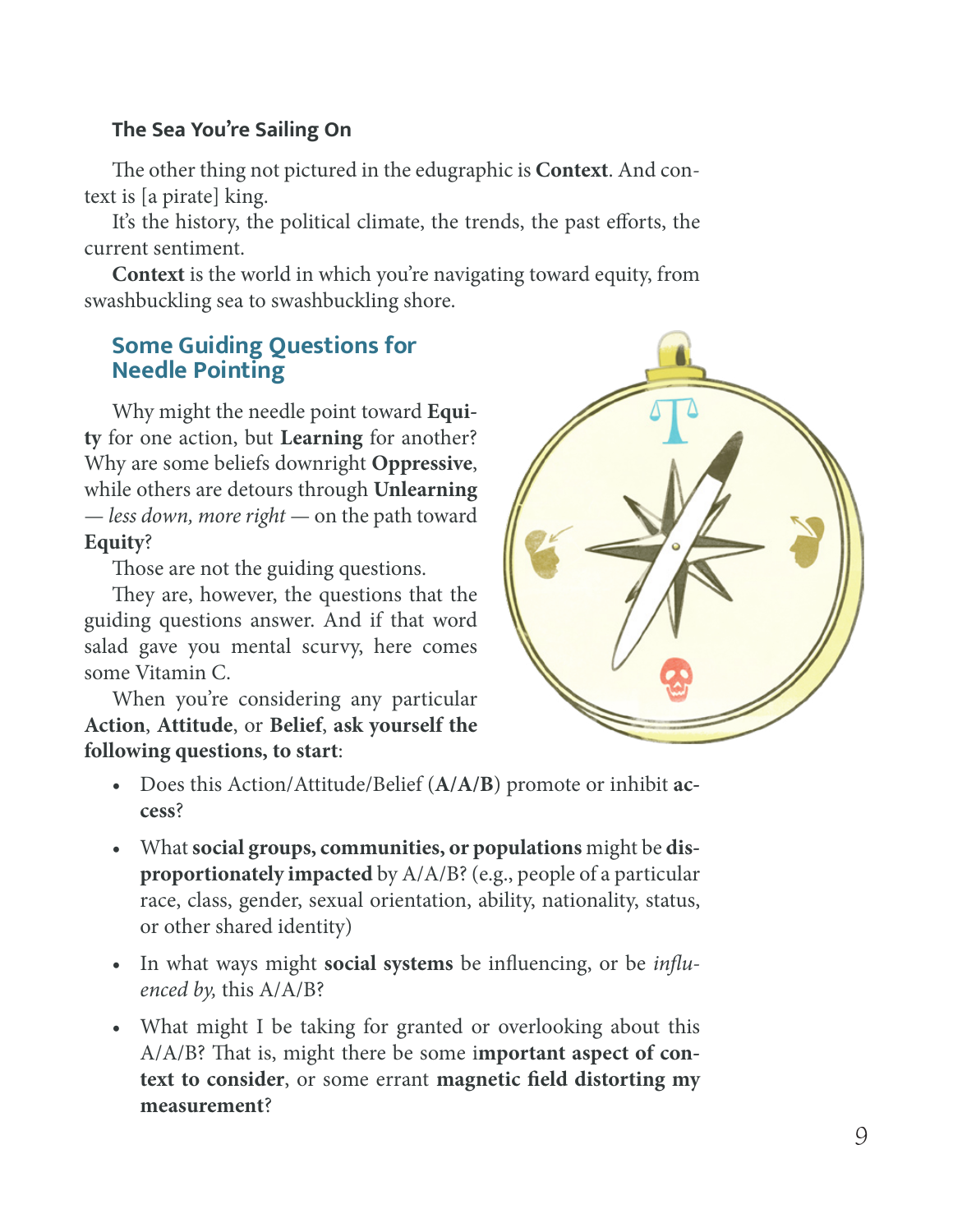#### **The Sea You're Sailing On**

The other thing not pictured in the edugraphic is **Context**. And context is [a pirate] king.

It's the history, the political climate, the trends, the past efforts, the current sentiment.

**Context** is the world in which you're navigating toward equity, from swashbuckling sea to swashbuckling shore.

## **Some Guiding Questions for Needle Pointing**

Why might the needle point toward **Equity** for one action, but **Learning** for another? Why are some beliefs downright **Oppressive**, while others are detours through **Unlearning** — *less down, more right* — on the path toward **Equity**?

Those are not the guiding questions.

They are, however, the questions that the guiding questions answer. And if that word salad gave you mental scurvy, here comes some Vitamin C.

When you're considering any particular **Action**, **Attitude**, or **Belief**, **ask yourself the following questions, to start**:



- Does this Action/Attitude/Belief (**A/A/B**) promote or inhibit **access**?
- What **social groups, communities, or populations** might be **disproportionately impacted** by A/A/B? (e.g., people of a particular race, class, gender, sexual orientation, ability, nationality, status, or other shared identity)
- In what ways might **social systems** be influencing, or be *influenced by,* this A/A/B?
- What might I be taking for granted or overlooking about this A/A/B? That is, might there be some i**mportant aspect of context to consider**, or some errant **magnetic field distorting my measurement**?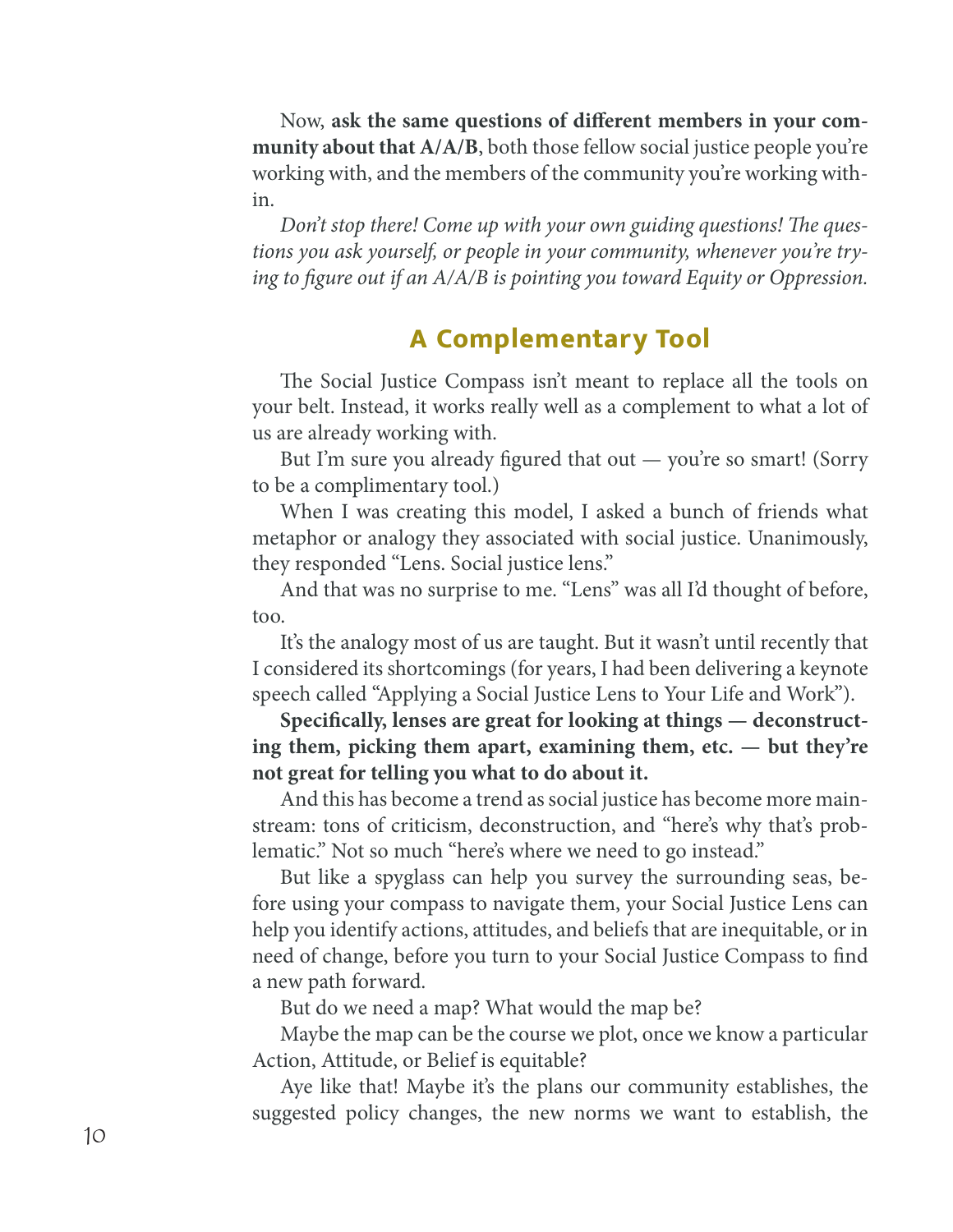Now, **ask the same questions of different members in your community about that A/A/B**, both those fellow social justice people you're working with, and the members of the community you're working within.

*Don't stop there! Come up with your own guiding questions! The questions you ask yourself, or people in your community, whenever you're trying to figure out if an A/A/B is pointing you toward Equity or Oppression.*

# **A Complementary Tool**

The Social Justice Compass isn't meant to replace all the tools on your belt. Instead, it works really well as a complement to what a lot of us are already working with.

But I'm sure you already figured that out — you're so smart! (Sorry to be a complimentary tool.)

When I was creating this model, I asked a bunch of friends what metaphor or analogy they associated with social justice. Unanimously, they responded "Lens. Social justice lens."

And that was no surprise to me. "Lens" was all I'd thought of before, too.

It's the analogy most of us are taught. But it wasn't until recently that I considered its shortcomings (for years, I had been delivering a keynote speech called "Applying a Social Justice Lens to Your Life and Work").

**Specifically, lenses are great for looking at things — deconstructing them, picking them apart, examining them, etc. — but they're not great for telling you what to do about it.**

And this has become a trend as social justice has become more mainstream: tons of criticism, deconstruction, and "here's why that's problematic." Not so much "here's where we need to go instead."

But like a spyglass can help you survey the surrounding seas, before using your compass to navigate them, your Social Justice Lens can help you identify actions, attitudes, and beliefs that are inequitable, or in need of change, before you turn to your Social Justice Compass to find a new path forward.

But do we need a map? What would the map be?

Maybe the map can be the course we plot, once we know a particular Action, Attitude, or Belief is equitable?

Aye like that! Maybe it's the plans our community establishes, the suggested policy changes, the new norms we want to establish, the